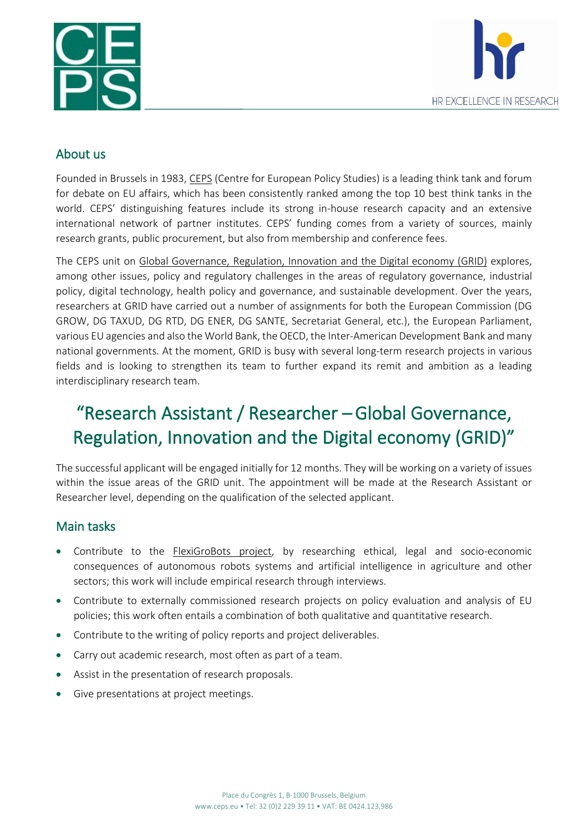



#### About us

Founded in Brussels in 1983, [CEPS](http://www.ceps.eu/) (Centre for European Policy Studies) is a leading think tank and forum for debate on EU affairs, which has been consistently ranked among the top 10 best think tanks in the world. CEPS' distinguishing features include its strong in-house research capacity and an extensive international network of partner institutes. CEPS' funding comes from a variety of sources, mainly research grants, public procurement, but also from membership and conference fees.

The CEPS unit on Global [Governance,](https://www.ceps.eu/ceps-unit/grid/) Regulation, Innovation and the Digital economy (GRID) explores, among other issues, policy and regulatory challenges in the areas of regulatory governance, industrial policy, digital technology, health policy and governance, and sustainable development. Over the years, researchers at GRID have carried out a number of assignments for both the European Commission (DG GROW, DG TAXUD, DG RTD, DG ENER, DG SANTE, Secretariat General, etc.), the European Parliament, various EU agencies and also the World Bank, the OECD, the Inter-American Development Bank and many national governments. At the moment, GRID is busy with several long-term research projects in various fields and is looking to strengthen its team to further expand its remit and ambition as a leading interdisciplinary research team.

# "Research Assistant / Researcher –Global Governance, Regulation, Innovation and the Digital economy (GRID)"

The successful applicant will be engaged initially for 12 months. They will be working on a variety of issues within the issue areas of the GRID unit. The appointment will be made at the Research Assistant or Researcher level, depending on the qualification of the selected applicant.

#### Main tasks

- Contribute to the [FlexiGroBots](https://flexigrobots-h2020.eu/blog/digging-deeper-ethics-robotics-and-ai) project, by researching ethical, legal and socio-economic consequences of autonomous robots systems and artificial intelligence in agriculture and other sectors; this work will include empirical research through interviews.
- Contribute to externally commissioned research projects on policy evaluation and analysis of EU policies; this work often entails a combination of both qualitative and quantitative research.
- Contribute to the writing of policy reports and project deliverables.
- Carry out academic research, most often as part of a team.
- Assist in the presentation of research proposals.
- Give presentations at project meetings.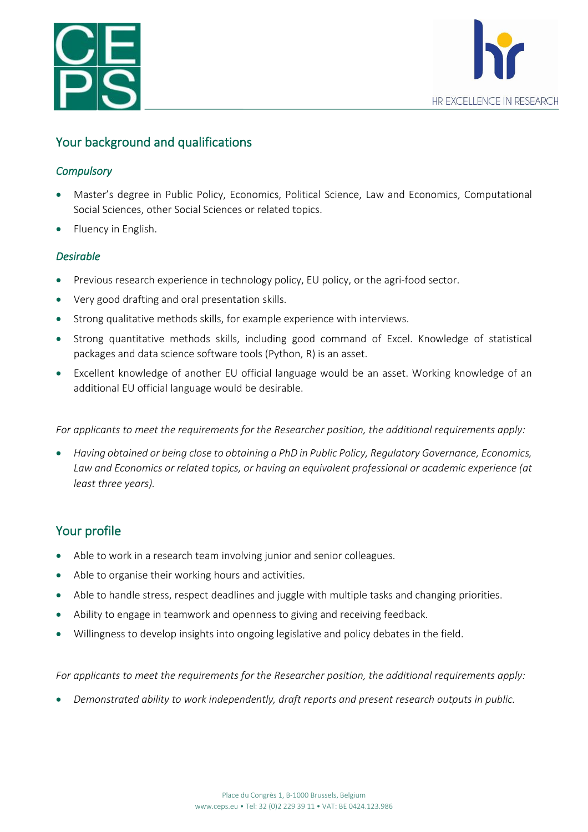



# Your background and qualifications

#### *Compulsory*

- Master's degree in Public Policy, Economics, Political Science, Law and Economics, Computational Social Sciences, other Social Sciences or related topics.
- Fluency in English.

#### *Desirable*

- Previous research experience in technology policy, EU policy, or the agri-food sector.
- Very good drafting and oral presentation skills.
- Strong qualitative methods skills, for example experience with interviews.
- Strong quantitative methods skills, including good command of Excel. Knowledge of statistical packages and data science software tools (Python, R) is an asset.
- Excellent knowledge of another EU official language would be an asset. Working knowledge of an additional EU official language would be desirable.

*For applicants to meet the requirements for the Researcher position, the additional requirements apply:*

• *Having obtained or being close to obtaining a PhD in Public Policy, Regulatory Governance, Economics, Law and Economics or related topics, or having an equivalent professional or academic experience (at least three years).* 

## Your profile

- Able to work in a research team involving junior and senior colleagues.
- Able to organise their working hours and activities.
- Able to handle stress, respect deadlines and juggle with multiple tasks and changing priorities.
- Ability to engage in teamwork and openness to giving and receiving feedback.
- Willingness to develop insights into ongoing legislative and policy debates in the field.

*For applicants to meet the requirements for the Researcher position, the additional requirements apply:*

• *Demonstrated ability to work independently, draft reports and present research outputs in public.*